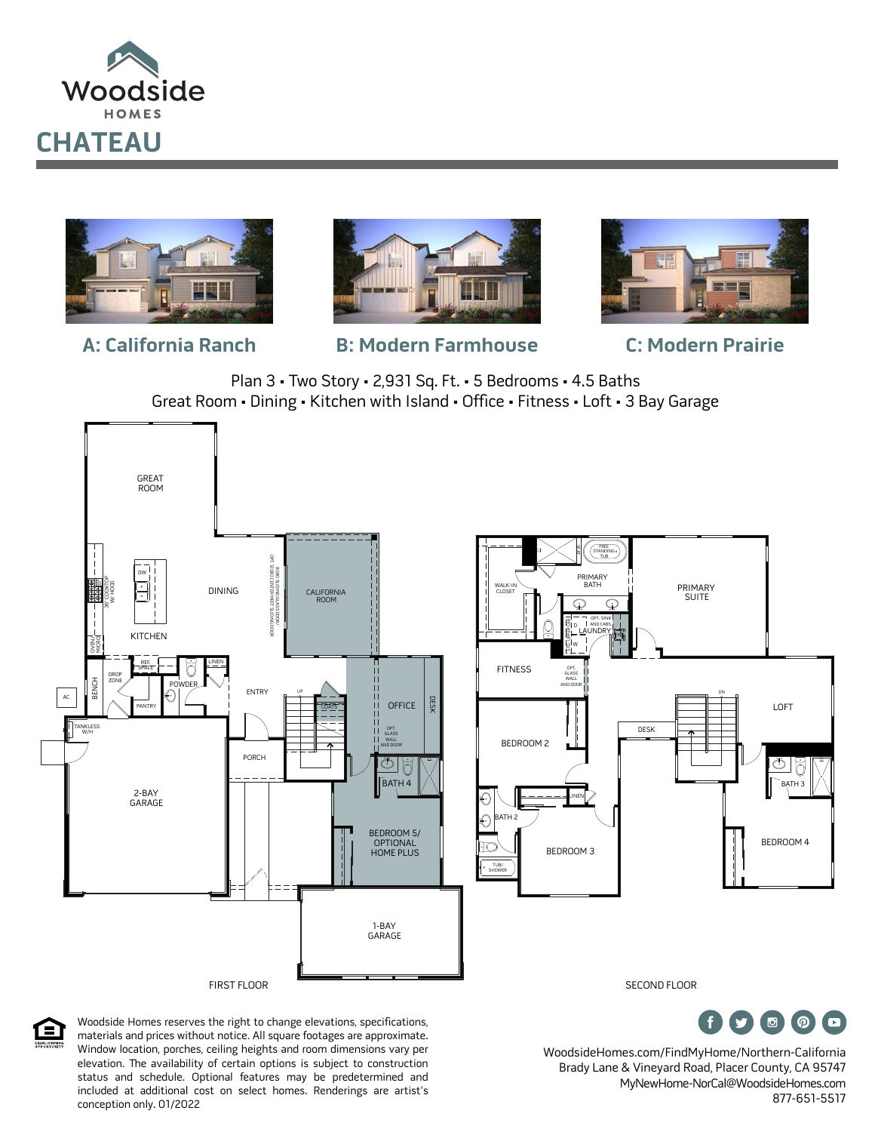







## **A: California Ranch B: Modern Farmhouse C: Modern Prairie**







Woodside Homes reserves the right to change elevations, specifications, materials and prices without notice. All square footages are approximate. Window location, porches, ceiling heights and room dimensions vary per elevation. The availability of certain options is subject to construction status and schedule. Optional features may be predetermined and included at additional cost on select homes. Renderings are artist's conception only. 01/2022

WoodsideHomes.com/FindMyHome/Northern-California Brady Lane & Vineyard Road, Placer County, CA 95747 MyNewHome-NorCal@WoodsideHomes.com 877-651-5517